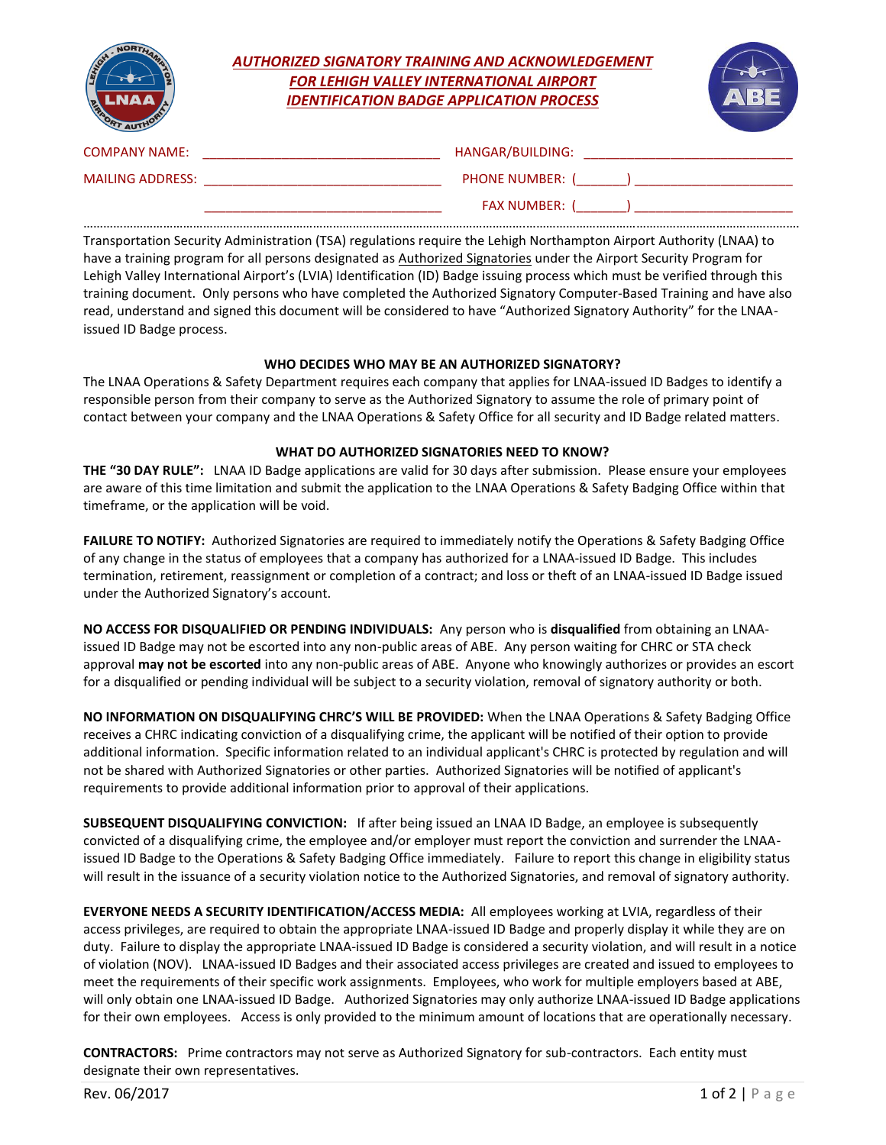|                         | <b>AUTHORIZED SIGNATORY TRAINING AND ACKNOWLEDGEMENT</b><br><b>FOR LEHIGH VALLEY INTERNATIONAL AIRPORT</b><br><b>IDENTIFICATION BADGE APPLICATION PROCESS</b>                                                                 |  |
|-------------------------|-------------------------------------------------------------------------------------------------------------------------------------------------------------------------------------------------------------------------------|--|
| <b>COMPANY NAME:</b>    | HANGAR/BUILDING: The contract of the contract of the contract of the contract of the contract of the contract of the contract of the contract of the contract of the contract of the contract of the contract of the contract |  |
| <b>MAILING ADDRESS:</b> | PHONE NUMBER: ( )                                                                                                                                                                                                             |  |
|                         | FAX NUMBER: ( )                                                                                                                                                                                                               |  |

Transportation Security Administration (TSA) regulations require the Lehigh Northampton Airport Authority (LNAA) to have a training program for all persons designated as Authorized Signatories under the Airport Security Program for Lehigh Valley International Airport's (LVIA) Identification (ID) Badge issuing process which must be verified through this training document. Only persons who have completed the Authorized Signatory Computer-Based Training and have also read, understand and signed this document will be considered to have "Authorized Signatory Authority" for the LNAAissued ID Badge process.

## **WHO DECIDES WHO MAY BE AN AUTHORIZED SIGNATORY?**

The LNAA Operations & Safety Department requires each company that applies for LNAA-issued ID Badges to identify a responsible person from their company to serve as the Authorized Signatory to assume the role of primary point of contact between your company and the LNAA Operations & Safety Office for all security and ID Badge related matters.

## **WHAT DO AUTHORIZED SIGNATORIES NEED TO KNOW?**

**THE "30 DAY RULE":** LNAA ID Badge applications are valid for 30 days after submission. Please ensure your employees are aware of this time limitation and submit the application to the LNAA Operations & Safety Badging Office within that timeframe, or the application will be void.

**FAILURE TO NOTIFY:** Authorized Signatories are required to immediately notify the Operations & Safety Badging Office of any change in the status of employees that a company has authorized for a LNAA-issued ID Badge. This includes termination, retirement, reassignment or completion of a contract; and loss or theft of an LNAA-issued ID Badge issued under the Authorized Signatory's account.

**NO ACCESS FOR DISQUALIFIED OR PENDING INDIVIDUALS:** Any person who is **disqualified** from obtaining an LNAAissued ID Badge may not be escorted into any non-public areas of ABE. Any person waiting for CHRC or STA check approval **may not be escorted** into any non-public areas of ABE. Anyone who knowingly authorizes or provides an escort for a disqualified or pending individual will be subject to a security violation, removal of signatory authority or both.

**NO INFORMATION ON DISQUALIFYING CHRC'S WILL BE PROVIDED:** When the LNAA Operations & Safety Badging Office receives a CHRC indicating conviction of a disqualifying crime, the applicant will be notified of their option to provide additional information. Specific information related to an individual applicant's CHRC is protected by regulation and will not be shared with Authorized Signatories or other parties. Authorized Signatories will be notified of applicant's requirements to provide additional information prior to approval of their applications.

**SUBSEQUENT DISQUALIFYING CONVICTION:** If after being issued an LNAA ID Badge, an employee is subsequently convicted of a disqualifying crime, the employee and/or employer must report the conviction and surrender the LNAAissued ID Badge to the Operations & Safety Badging Office immediately. Failure to report this change in eligibility status will result in the issuance of a security violation notice to the Authorized Signatories, and removal of signatory authority.

**EVERYONE NEEDS A SECURITY IDENTIFICATION/ACCESS MEDIA:** All employees working at LVIA, regardless of their access privileges, are required to obtain the appropriate LNAA-issued ID Badge and properly display it while they are on duty. Failure to display the appropriate LNAA-issued ID Badge is considered a security violation, and will result in a notice of violation (NOV). LNAA-issued ID Badges and their associated access privileges are created and issued to employees to meet the requirements of their specific work assignments. Employees, who work for multiple employers based at ABE, will only obtain one LNAA-issued ID Badge. Authorized Signatories may only authorize LNAA-issued ID Badge applications for their own employees. Access is only provided to the minimum amount of locations that are operationally necessary.

**CONTRACTORS:** Prime contractors may not serve as Authorized Signatory for sub-contractors. Each entity must designate their own representatives.